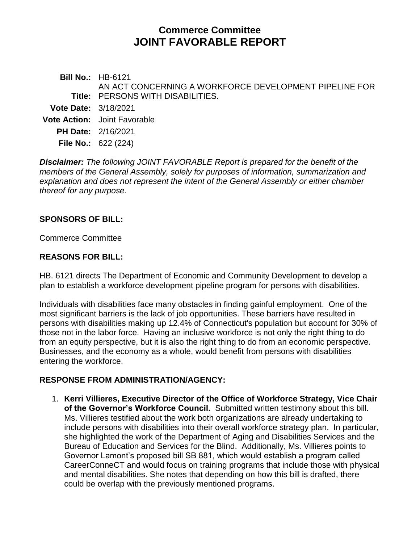# **Commerce Committee JOINT FAVORABLE REPORT**

**Bill No.:** HB-6121 **Title:** PERSONS WITH DISABILITIES. AN ACT CONCERNING A WORKFORCE DEVELOPMENT PIPELINE FOR **Vote Date:** 3/18/2021 **Vote Action:** Joint Favorable **PH Date:** 2/16/2021 **File No.:** 622 (224)

*Disclaimer: The following JOINT FAVORABLE Report is prepared for the benefit of the members of the General Assembly, solely for purposes of information, summarization and explanation and does not represent the intent of the General Assembly or either chamber thereof for any purpose.*

#### **SPONSORS OF BILL:**

Commerce Committee

### **REASONS FOR BILL:**

HB. 6121 directs The Department of Economic and Community Development to develop a plan to establish a workforce development pipeline program for persons with disabilities.

Individuals with disabilities face many obstacles in finding gainful employment. One of the most significant barriers is the lack of job opportunities. These barriers have resulted in persons with disabilities making up 12.4% of Connecticut's population but account for 30% of those not in the labor force. Having an inclusive workforce is not only the right thing to do from an equity perspective, but it is also the right thing to do from an economic perspective. Businesses, and the economy as a whole, would benefit from persons with disabilities entering the workforce.

#### **RESPONSE FROM ADMINISTRATION/AGENCY:**

1. **Kerri Villieres, Executive Director of the Office of Workforce Strategy, Vice Chair of the Governor's Workforce Council.** Submitted written testimony about this bill. Ms. Villieres testified about the work both organizations are already undertaking to include persons with disabilities into their overall workforce strategy plan. In particular, she highlighted the work of the Department of Aging and Disabilities Services and the Bureau of Education and Services for the Blind. Additionally, Ms. Villieres points to Governor Lamont's proposed bill SB 881, which would establish a program called CareerConneCT and would focus on training programs that include those with physical and mental disabilities. She notes that depending on how this bill is drafted, there could be overlap with the previously mentioned programs.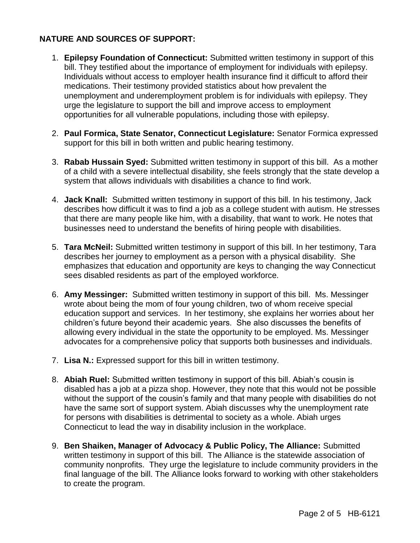## **NATURE AND SOURCES OF SUPPORT:**

- 1. **Epilepsy Foundation of Connecticut:** Submitted written testimony in support of this bill. They testified about the importance of employment for individuals with epilepsy. Individuals without access to employer health insurance find it difficult to afford their medications. Their testimony provided statistics about how prevalent the unemployment and underemployment problem is for individuals with epilepsy. They urge the legislature to support the bill and improve access to employment opportunities for all vulnerable populations, including those with epilepsy.
- 2. **Paul Formica, State Senator, Connecticut Legislature:** Senator Formica expressed support for this bill in both written and public hearing testimony.
- 3. **Rabab Hussain Syed:** Submitted written testimony in support of this bill. As a mother of a child with a severe intellectual disability, she feels strongly that the state develop a system that allows individuals with disabilities a chance to find work.
- 4. **Jack Knall:** Submitted written testimony in support of this bill. In his testimony, Jack describes how difficult it was to find a job as a college student with autism. He stresses that there are many people like him, with a disability, that want to work. He notes that businesses need to understand the benefits of hiring people with disabilities.
- 5. **Tara McNeil:** Submitted written testimony in support of this bill. In her testimony, Tara describes her journey to employment as a person with a physical disability. She emphasizes that education and opportunity are keys to changing the way Connecticut sees disabled residents as part of the employed workforce.
- 6. **Amy Messinger:** Submitted written testimony in support of this bill. Ms. Messinger wrote about being the mom of four young children, two of whom receive special education support and services. In her testimony, she explains her worries about her children's future beyond their academic years. She also discusses the benefits of allowing every individual in the state the opportunity to be employed. Ms. Messinger advocates for a comprehensive policy that supports both businesses and individuals.
- 7. **Lisa N.:** Expressed support for this bill in written testimony.
- 8. **Abiah Ruel:** Submitted written testimony in support of this bill. Abiah's cousin is disabled has a job at a pizza shop. However, they note that this would not be possible without the support of the cousin's family and that many people with disabilities do not have the same sort of support system. Abiah discusses why the unemployment rate for persons with disabilities is detrimental to society as a whole. Abiah urges Connecticut to lead the way in disability inclusion in the workplace.
- 9. **Ben Shaiken, Manager of Advocacy & Public Policy, The Alliance:** Submitted written testimony in support of this bill. The Alliance is the statewide association of community nonprofits. They urge the legislature to include community providers in the final language of the bill. The Alliance looks forward to working with other stakeholders to create the program.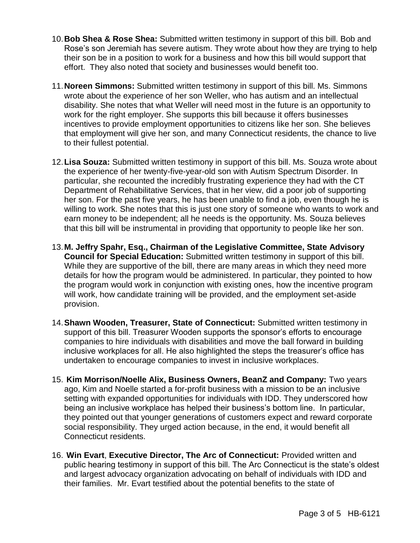- 10.**Bob Shea & Rose Shea:** Submitted written testimony in support of this bill. Bob and Rose's son Jeremiah has severe autism. They wrote about how they are trying to help their son be in a position to work for a business and how this bill would support that effort. They also noted that society and businesses would benefit too.
- 11.**Noreen Simmons:** Submitted written testimony in support of this bill. Ms. Simmons wrote about the experience of her son Weller, who has autism and an intellectual disability. She notes that what Weller will need most in the future is an opportunity to work for the right employer. She supports this bill because it offers businesses incentives to provide employment opportunities to citizens like her son. She believes that employment will give her son, and many Connecticut residents, the chance to live to their fullest potential.
- 12.**Lisa Souza:** Submitted written testimony in support of this bill. Ms. Souza wrote about the experience of her twenty-five-year-old son with Autism Spectrum Disorder. In particular, she recounted the incredibly frustrating experience they had with the CT Department of Rehabilitative Services, that in her view, did a poor job of supporting her son. For the past five years, he has been unable to find a job, even though he is willing to work. She notes that this is just one story of someone who wants to work and earn money to be independent; all he needs is the opportunity. Ms. Souza believes that this bill will be instrumental in providing that opportunity to people like her son.
- 13.**M. Jeffry Spahr, Esq., Chairman of the Legislative Committee, State Advisory Council for Special Education:** Submitted written testimony in support of this bill. While they are supportive of the bill, there are many areas in which they need more details for how the program would be administered. In particular, they pointed to how the program would work in conjunction with existing ones, how the incentive program will work, how candidate training will be provided, and the employment set-aside provision.
- 14.**Shawn Wooden, Treasurer, State of Connecticut:** Submitted written testimony in support of this bill. Treasurer Wooden supports the sponsor's efforts to encourage companies to hire individuals with disabilities and move the ball forward in building inclusive workplaces for all. He also highlighted the steps the treasurer's office has undertaken to encourage companies to invest in inclusive workplaces.
- 15. **Kim Morrison/Noelle Alix, Business Owners, BeanZ and Company:** Two years ago, Kim and Noelle started a for-profit business with a mission to be an inclusive setting with expanded opportunities for individuals with IDD. They underscored how being an inclusive workplace has helped their business's bottom line. In particular, they pointed out that younger generations of customers expect and reward corporate social responsibility. They urged action because, in the end, it would benefit all Connecticut residents.
- 16. **Win Evart**, **Executive Director, The Arc of Connecticut:** Provided written and public hearing testimony in support of this bill. The Arc Connecticut is the state's oldest and largest advocacy organization advocating on behalf of individuals with IDD and their families. Mr. Evart testified about the potential benefits to the state of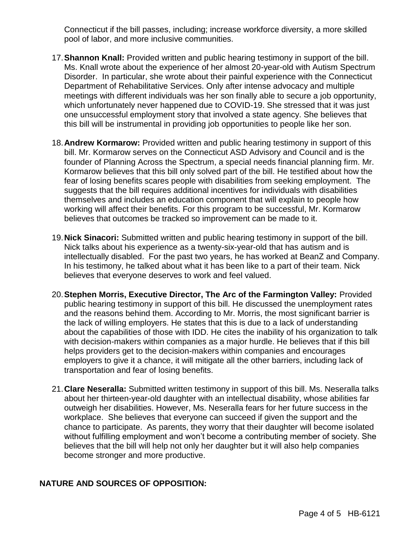Connecticut if the bill passes, including; increase workforce diversity, a more skilled pool of labor, and more inclusive communities.

- 17.**Shannon Knall:** Provided written and public hearing testimony in support of the bill. Ms. Knall wrote about the experience of her almost 20-year-old with Autism Spectrum Disorder. In particular, she wrote about their painful experience with the Connecticut Department of Rehabilitative Services. Only after intense advocacy and multiple meetings with different individuals was her son finally able to secure a job opportunity, which unfortunately never happened due to COVID-19. She stressed that it was just one unsuccessful employment story that involved a state agency. She believes that this bill will be instrumental in providing job opportunities to people like her son.
- 18.**Andrew Kormarow:** Provided written and public hearing testimony in support of this bill. Mr. Kormarow serves on the Connecticut ASD Advisory and Council and is the founder of Planning Across the Spectrum, a special needs financial planning firm. Mr. Kormarow believes that this bill only solved part of the bill. He testified about how the fear of losing benefits scares people with disabilities from seeking employment. The suggests that the bill requires additional incentives for individuals with disabilities themselves and includes an education component that will explain to people how working will affect their benefits. For this program to be successful, Mr. Kormarow believes that outcomes be tracked so improvement can be made to it.
- 19.**Nick Sinacori:** Submitted written and public hearing testimony in support of the bill. Nick talks about his experience as a twenty-six-year-old that has autism and is intellectually disabled. For the past two years, he has worked at BeanZ and Company. In his testimony, he talked about what it has been like to a part of their team. Nick believes that everyone deserves to work and feel valued.
- 20.**Stephen Morris, Executive Director, The Arc of the Farmington Valley:** Provided public hearing testimony in support of this bill. He discussed the unemployment rates and the reasons behind them. According to Mr. Morris, the most significant barrier is the lack of willing employers. He states that this is due to a lack of understanding about the capabilities of those with IDD. He cites the inability of his organization to talk with decision-makers within companies as a major hurdle. He believes that if this bill helps providers get to the decision-makers within companies and encourages employers to give it a chance, it will mitigate all the other barriers, including lack of transportation and fear of losing benefits.
- 21.**Clare Neseralla:** Submitted written testimony in support of this bill. Ms. Neseralla talks about her thirteen-year-old daughter with an intellectual disability, whose abilities far outweigh her disabilities. However, Ms. Neseralla fears for her future success in the workplace. She believes that everyone can succeed if given the support and the chance to participate. As parents, they worry that their daughter will become isolated without fulfilling employment and won't become a contributing member of society. She believes that the bill will help not only her daughter but it will also help companies become stronger and more productive.

#### **NATURE AND SOURCES OF OPPOSITION:**